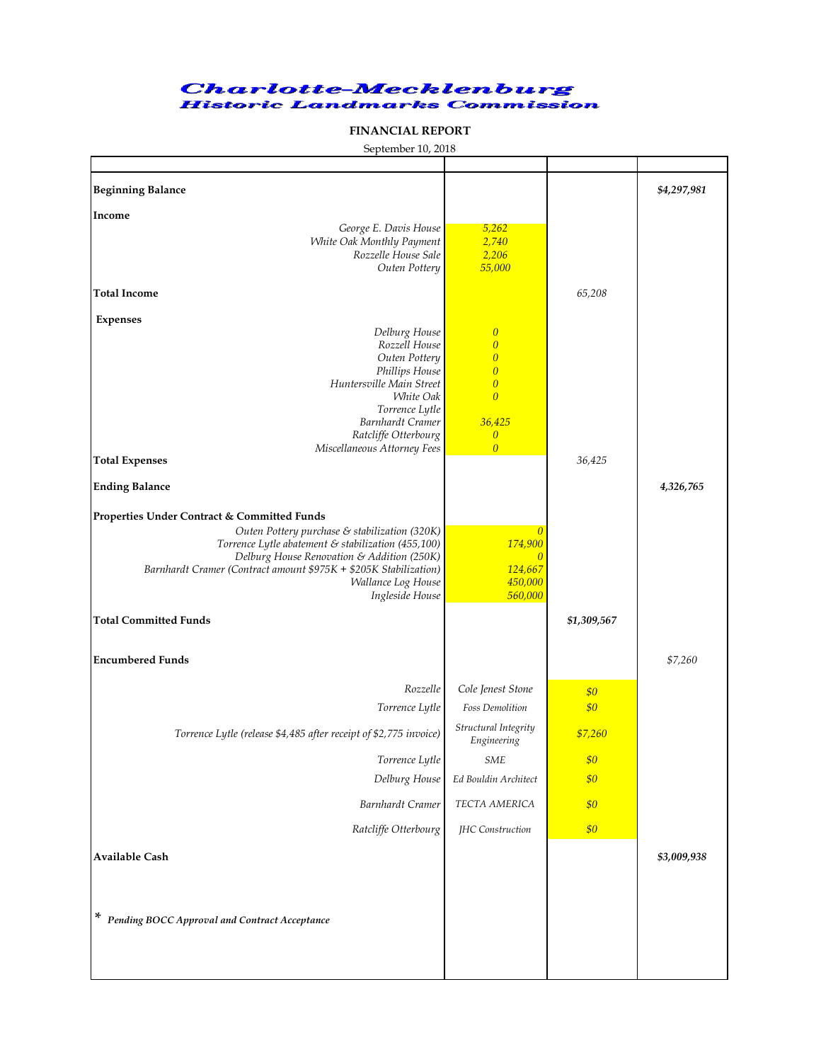## **Charlotte-Mecklenburg Historic Landmarks Commission**

## **FINANCIAL REPORT**

| September 10, 2018 |  |
|--------------------|--|

| <b>Beginning Balance</b>                                                                            |                                      |             | \$4,297,981 |
|-----------------------------------------------------------------------------------------------------|--------------------------------------|-------------|-------------|
| Income                                                                                              |                                      |             |             |
| George E. Davis House                                                                               | 5,262                                |             |             |
| White Oak Monthly Payment<br>Rozzelle House Sale                                                    | 2,740<br>2,206                       |             |             |
| Outen Pottery                                                                                       | 55,000                               |             |             |
|                                                                                                     |                                      |             |             |
| <b>Total Income</b>                                                                                 |                                      | 65,208      |             |
| <b>Expenses</b>                                                                                     |                                      |             |             |
| Delburg House                                                                                       | $\boldsymbol{0}$                     |             |             |
| Rozzell House                                                                                       | $\overline{0}$                       |             |             |
| Outen Pottery                                                                                       | $\overline{0}$                       |             |             |
| Phillips House<br>Huntersville Main Street                                                          | $\boldsymbol{0}$<br>$\boldsymbol{0}$ |             |             |
| White Oak                                                                                           | $\overline{0}$                       |             |             |
| Torrence Lytle                                                                                      |                                      |             |             |
| Barnhardt Cramer                                                                                    | 36,425                               |             |             |
| Ratcliffe Otterbourg                                                                                | $\overline{0}$<br>$\overline{0}$     |             |             |
| Miscellaneous Attorney Fees<br><b>Total Expenses</b>                                                |                                      | 36,425      |             |
|                                                                                                     |                                      |             |             |
| <b>Ending Balance</b>                                                                               |                                      |             | 4,326,765   |
|                                                                                                     |                                      |             |             |
| Properties Under Contract & Committed Funds                                                         |                                      |             |             |
| Outen Pottery purchase & stabilization (320K)<br>Torrence Lytle abatement & stabilization (455,100) | $\boldsymbol{0}$<br>174,900          |             |             |
| Delburg House Renovation & Addition (250K)                                                          | $\overline{0}$                       |             |             |
| Barnhardt Cramer (Contract amount \$975K + \$205K Stabilization)                                    | 124,667                              |             |             |
| Wallance Log House                                                                                  | 450,000                              |             |             |
| Ingleside House                                                                                     | 560,000                              |             |             |
| <b>Total Committed Funds</b>                                                                        |                                      | \$1,309,567 |             |
|                                                                                                     |                                      |             |             |
|                                                                                                     |                                      |             |             |
| <b>Encumbered Funds</b>                                                                             |                                      |             | \$7,260     |
| Rozzelle                                                                                            | Cole Jenest Stone                    | \$0         |             |
| Torrence Lytle                                                                                      | <b>Foss Demolition</b>               | \$0         |             |
| Torrence Lytle (release \$4,485 after receipt of \$2,775 invoice)                                   | Structural Integrity<br>Engineering  | \$7,260     |             |
| Torrence Lytle                                                                                      | $SME$                                | \$0         |             |
| Delburg House                                                                                       | Ed Bouldin Architect                 | \$0         |             |
| Barnhardt Cramer                                                                                    | TECTA AMERICA                        | \$0         |             |
| Ratcliffe Otterbourg                                                                                | JHC Construction                     | \$0\$       |             |
| Available Cash                                                                                      |                                      |             | \$3,009,938 |
|                                                                                                     |                                      |             |             |
|                                                                                                     |                                      |             |             |
|                                                                                                     |                                      |             |             |
| * Pending BOCC Approval and Contract Acceptance                                                     |                                      |             |             |
|                                                                                                     |                                      |             |             |
|                                                                                                     |                                      |             |             |
|                                                                                                     |                                      |             |             |
|                                                                                                     |                                      |             |             |